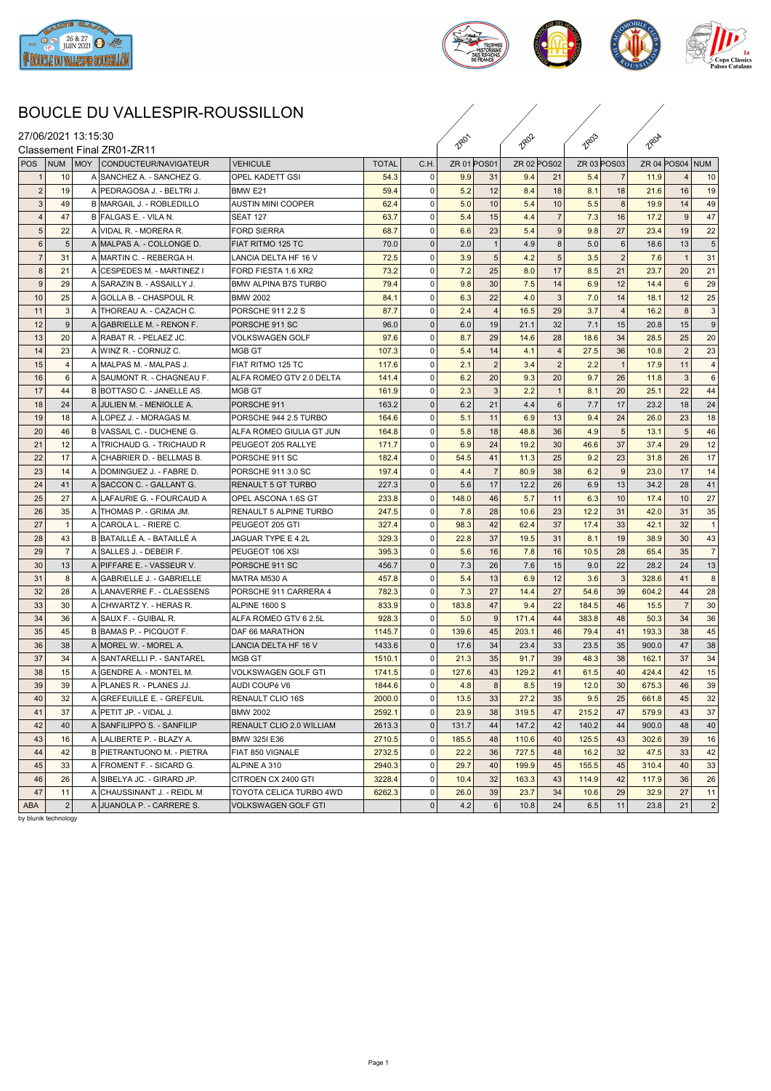



## BOUCLE DU VALLESPIR-ROUSSILLON

|                  |                | 27/06/2021 13:15:30        |                               |              |              | <b>280'</b> |                 | <b>2802</b> |                 | 1803        |                | 180A  |                 |                |
|------------------|----------------|----------------------------|-------------------------------|--------------|--------------|-------------|-----------------|-------------|-----------------|-------------|----------------|-------|-----------------|----------------|
|                  |                | Classement Final ZR01-ZR11 |                               |              |              |             |                 |             |                 |             |                |       |                 |                |
| POS              | NUM MOY        | CONDUCTEUR/NAVIGATEUR      | <b>VEHICULE</b>               | <b>TOTAL</b> | C.H.         | ZR 01 POS01 |                 | ZR 02 POS02 |                 | ZR 03 POS03 |                |       | ZR 04 POS04 NUM |                |
|                  | 10             | A SANCHEZ A. - SANCHEZ G.  | <b>OPEL KADETT GSI</b>        | 54.3         | $\mathbf 0$  | 9.9         | 31              | 9.4         | 21              | 5.4         | $\overline{7}$ | 11.9  |                 | 10             |
| $\overline{2}$   | 19             | A PEDRAGOSA J. - BELTRI J. | BMW E21                       | 59.4         | $\mathbf 0$  | 5.2         | 12              | 8.4         | 18              | 8.1         | 18             | 21.6  | 16              | 19             |
| 3                | 49             | B MARGAIL J. - ROBLEDILLO  | AUSTIN MINI COOPER            | 62.4         | $\mathbf 0$  | 5.0         | 10              | 5.4         | 10              | 5.5         | 8              | 19.9  | 14              | 49             |
| $\overline{4}$   | 47             | B FALGAS E. - VILA N.      | <b>SEAT 127</b>               | 63.7         | 0            | 5.4         | 15              | 4.4         | $\overline{7}$  | 7.3         | 16             | 17.2  | 9               | 47             |
| 5 <sup>1</sup>   | 22             | A VIDAL R. - MORERA R.     | <b>FORD SIERRA</b>            | 68.7         | $\Omega$     | 6.6         | 23              | 5.4         | 9 <sup>1</sup>  | 9.8         | 27             | 23.4  | 19              | 22             |
| $6\phantom{1}6$  | 5              | A MALPAS A. - COLLONGE D.  | FIAT RITMO 125 TC             | 70.0         | $\mathbf 0$  | 2.0         | $\mathbf{1}$    | 4.9         | 8               | 5.0         | 6              | 18.6  | 13              | 5              |
| $\overline{7}$   | 31             | A MARTIN C. - REBERGA H.   | LANCIA DELTA HF 16 V          | 72.5         | $\Omega$     | 3.9         | $5\phantom{.0}$ | 4.2         | 5 <sup>1</sup>  | 3.5         | $\overline{2}$ | 7.6   | $\overline{1}$  | 31             |
| 8                | 21             | A CESPEDES M. - MARTINEZ I | FORD FIESTA 1.6 XR2           | 73.2         | $\mathbf 0$  | 7.2         | 25              | 8.0         | 17              | 8.5         | 21             | 23.7  | 20              | 21             |
| $\boldsymbol{9}$ | 29             | A SARAZIN B. - ASSAILLY J. | BMW ALPINA B7S TURBO          | 79.4         | 0            | 9.8         | 30              | 7.5         | 14              | 6.9         | 12             | 14.4  | 6               | 29             |
| 10               | 25             | A GOLLA B. - CHASPOUL R.   | <b>BMW 2002</b>               | 84.1         | $\mathbf 0$  | 6.3         | 22              | 4.0         | 3               | 7.0         | 14             | 18.1  | 12              | 25             |
| 11               | 3              | A THOREAU A. - CAZACH C.   | PORSCHE 911 2.2 S             | 87.7         | 0            | 2.4         | $\overline{4}$  | 16.5        | 29              | 3.7         | $\overline{4}$ | 16.2  | 8               | 3              |
| 12               | 9              | A GABRIELLE M. - RENON F.  | PORSCHE 911 SC                | 96.0         | $\mathbf 0$  | 6.0         | 19              | 21.1        | 32              | 7.1         | 15             | 20.8  | 15              | 9              |
| 13               | 20             | A RABAT R. - PELAEZ JC.    | VOLKSWAGEN GOLF               | 97.6         | $\mathbf 0$  | 8.7         | 29              | 14.6        | 28              | 18.6        | 34             | 28.5  | 25              | 20             |
| 14               | 23             | A WINZ R. - CORNUZ C.      | MGB GT                        | 107.3        | $\Omega$     | 5.4         | 14              | 4.1         | $\overline{4}$  | 27.5        | 36             | 10.8  | $\overline{2}$  | 23             |
| 15               | $\overline{4}$ | A MALPAS M. - MALPAS J.    | FIAT RITMO 125 TC             | 117.6        | $\Omega$     | 2.1         | $\overline{2}$  | 3.4         | 2               | 2.2         | $\overline{1}$ | 17.9  | 11              | $\overline{4}$ |
| 16               | 6              | A SAUMONT R. - CHAGNEAU F. | ALFA ROMEO GTV 2.0 DELTA      | 141.4        | $\Omega$     | 6.2         | 20 <sub>1</sub> | 9.3         | 20              | 9.7         | 26             | 11.8  | 3               | 6              |
| 17               | 44             | B BOTTASO C. - JANELLE AS. | IMGB GT                       | 161.9        | $\Omega$     | 2.3         | 3               | 2.2         | $\mathbf{1}$    | 8.1         | 20             | 25.1  | 22              | 44             |
| 18               | 24             | A JULIEN M. - MENIOLLE A.  | PORSCHE 911                   | 163.2        | $\Omega$     | 6.2         | 21              | 4.4         | $6 \mid$        | 7.7         | 17             | 23.2  | 18              | 24             |
| 19               | 18             | A LOPEZ J. - MORAGAS M.    | PORSCHE 944 2.5 TURBO         | 164.6        | $\Omega$     | 5.1         | 11              | 6.9         | 13              | 9.4         | 24             | 26.0  | 23              | 18             |
| 20               | 46             | B VASSAIL C. - DUCHENE G.  | ALFA ROMEO GIULIA GT JUN      | 164.8        | 0            | 5.8         | 18              | 48.8        | 36              | 4.9         | 5              | 13.1  | 5               | 46             |
| 21               | 12             | A TRICHAUD G. - TRICHAUD R | PEUGEOT 205 RALLYE            | 171.7        | $\mathbf 0$  | 6.9         | 24              | 19.2        | 30              | 46.6        | 37             | 37.4  | 29              | 12             |
| 22               | 17             | A CHABRIER D. - BELLMAS B. | PORSCHE 911 SC                | 182.4        | $\Omega$     | 54.5        | 41              | 11.3        | 25              | 9.2         | 23             | 31.8  | 26              | 17             |
| 23               | 14             | A DOMINGUEZ J. - FABRE D.  | PORSCHE 911 3.0 SC            | 197.4        | $\Omega$     | 4.4         | $\overline{7}$  | 80.9        | 38              | 6.2         | 9              | 23.0  | 17              | 14             |
| 24               | 41             | A SACCON C. - GALLANT G.   | <b>RENAULT 5 GT TURBO</b>     | 227.3        | $\mathbf{0}$ | 5.6         | 17              | 12.2        | 26              | 6.9         | 13             | 34.2  | 28              | 41             |
| 25               | 27             | A LAFAURIE G. - FOURCAUD A | OPEL ASCONA 1.6S GT           | 233.8        | 0            | 148.0       | 46              | 5.7         | 11              | 6.3         | 10             | 17.4  | 10              | 27             |
| 26               | 35             | A THOMAS P. - GRIMA JM.    | <b>RENAULT 5 ALPINE TURBO</b> | 247.5        | $\mathbf 0$  | 7.8         | 28              | 10.6        | 23              | 12.2        | 31             | 42.0  | 31              | 35             |
| 27               | -1             | A CAROLA L. - RIERE C.     | PEUGEOT 205 GTI               | 327.4        | $\Omega$     | 98.3        | 42              | 62.4        | 37              | 17.4        | 33             | 42.1  | 32              |                |
| 28               | 43             | B BATAILLÉ A. - BATAILLÉ A | JAGUAR TYPE E 4.2L            | 329.3        | $\mathbf 0$  | 22.8        | 37              | 19.5        | 31              | 8.1         | 19             | 38.9  | 30              | 43             |
| 29               | $\overline{7}$ | A SALLES J. - DEBEIR F.    | PEUGEOT 106 XSI               | 395.3        | 0            | 5.6         | 16              | 7.8         | 16              | 10.5        | 28             | 65.4  | 35              | $\overline{7}$ |
| 30               | 13             | A PIFFARE E. - VASSEUR V.  | PORSCHE 911 SC                | 456.7        | $\mathbf{0}$ | 7.3         | 26              | 7.6         | 15 <sup>1</sup> | 9.0         | 22             | 28.2  | 24              | 13             |
| 31               | 8              | A GABRIELLE J. - GABRIELLE | MATRA M530 A                  | 457.8        | 0            | 5.4         | 13              | 6.9         | 12              | 3.6         | -3             | 328.6 | 41              | 8              |
| 32               | 28             | A LANAVERRE F. - CLAESSENS | PORSCHE 911 CARRERA 4         | 782.3        | $\Omega$     | 7.3         | 27              | 14.4        | 27              | 54.6        | 39             | 604.2 | 44              | 28             |
| 33               | 30             | A CHWARTZ Y. - HERAS R.    | ALPINE 1600 S                 | 833.9        | $\mathbf 0$  | 183.8       | 47              | 9.4         | 22              | 184.5       | 46             | 15.5  | $\overline{7}$  | 30             |
| 34               | 36             | A SAUX F. - GUIBAL R.      | ALFA ROMEO GTV 6 2.5L         | 928.3        | $\mathbf 0$  | 5.0         | 9               | 171.4       | 44              | 383.8       | 48             | 50.3  | 34              | 36             |
| 35               | 45             | B BAMAS P. - PICQUOT F.    | IDAF 66 MARATHON              | 1145.7       | $\mathbf 0$  | 139.6       | 45              | 203.1       | 46              | 79.4        | 41             | 193.3 | 38              | 45             |
| 36               | 38             | A MOREL W. - MOREL A.      | LANCIA DELTA HF 16 V          | 1433.6       | $\Omega$     | 17.6        | 34              | 23.4        | 33              | 23.5        | 35             | 900.0 | 47              | 38             |
| 37               | 34             | A SANTARELLI P. - SANTAREL | MGB GT                        | 1510.1       | $\Omega$     | 21.3        | 35              | 91.7        | 39              | 48.3        | 38             | 162.1 | 37              | 34             |
| 38               | 15             | A GENDRE A. - MONTEL M.    | VOLKSWAGEN GOLF GTI           | 1741.5       | 0            | 127.6       | 43              | 129.2       | 41              | 61.5        | 40             | 424.4 | 42              | 15             |
| 39               | 39             | A PLANES R. - PLANES JJ.   | AUDI COUPé V6                 | 1844.6       | 0            | 4.8         | 8               | 8.5         | 19              | 12.0        | 30             | 675.3 | 46              | 39             |
| 40               | 32             | A GREFEUILLE E. - GREFEUIL | <b>RENAULT CLIO 16S</b>       | 2000.0       | $\mathbf 0$  | 13.5        | 33              | 27.2        | 35              | 9.5         | 25             | 661.8 | 45              | 32             |
| 41               | 37             | A PETIT JP. - VIDAL J.     | <b>BMW 2002</b>               | 2592.1       | $\mathbf 0$  | 23.9        | 38 <sup>1</sup> | 319.5       | 47              | 215.2       | 47             | 579.9 | 43              | 37             |
| 42               | 40             | A SANFILIPPO S. - SANFILIP | RENAULT CLIO 2.0 WILLIAM      | 2613.3       | $\mathbf 0$  | 131.7       | 44              | 147.2       | 42              | 140.2       | 44             | 900.0 | 48              | 40             |
| 43               | 16             | A LALIBERTE P. - BLAZY A.  | <b>BMW 325I E36</b>           | 2710.5       | $\Omega$     | 185.5       | 48              | 110.6       | 40              | 125.5       | 43             | 302.6 | 39              | 16             |
| 44               | 42             | B PIETRANTUONO M. - PIETRA | FIAT 850 VIGNALE              | 2732.5       | $\mathbf 0$  | 22.2        | 36              | 727.5       | 48              | 16.2        | 32             | 47.5  | 33              | 42             |
| 45               | 33             | A FROMENT F. - SICARD G.   | ALPINE A 310                  | 2940.3       | 0            | 29.7        | 40              | 199.9       | 45              | 155.5       | 45             | 310.4 | 40              | 33             |
| 46               | 26             | A SIBELYA JC. - GIRARD JP. | CITROEN CX 2400 GTI           | 3228.4       | 0            | 10.4        | 32              | 163.3       | 43              | 114.9       | 42             | 117.9 | 36              | 26             |
| 47               | 11             | A CHAUSSINANT J. - REIDL M | TOYOTA CELICA TURBO 4WD       | 6262.3       | $\Omega$     | 26.0        | 39              | 23.7        | 34              | 10.6        | 29             | 32.9  | 27              | 11             |
| ABA              | $\overline{2}$ | A JUANOLA P. - CARRERE S.  | VOLKSWAGEN GOLF GTI           |              | $\mathbf{0}$ | 4.2         | 6               | 10.8        | 24              | 6.5         | 11             | 23.8  | 21              | 2              |
|                  |                |                            |                               |              |              |             |                 |             |                 |             |                |       |                 |                |

by blunik technology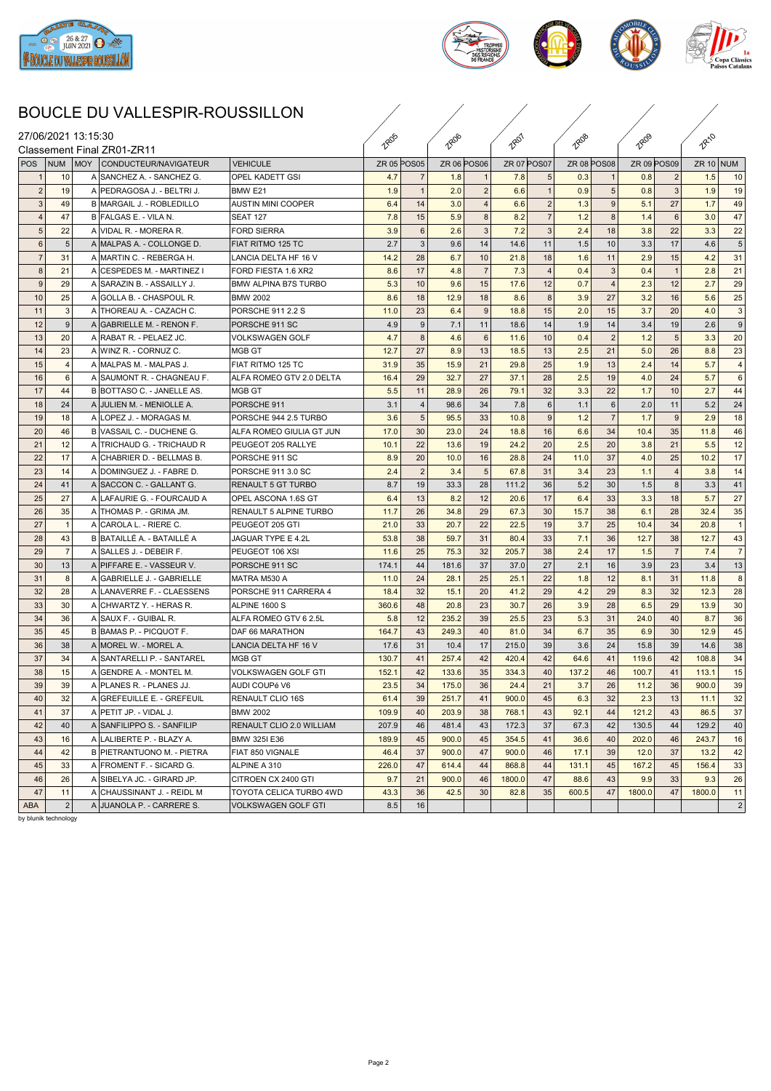



## BOUCLE DU VALLESPIR-ROUSSILLON

|                     |            |                | BOUCLE DU VALLESPIR-ROUSSILLON                        |                               |                    |                |                    |                   |                    |                |                    |                       |             |                |             |                |
|---------------------|------------|----------------|-------------------------------------------------------|-------------------------------|--------------------|----------------|--------------------|-------------------|--------------------|----------------|--------------------|-----------------------|-------------|----------------|-------------|----------------|
| 27/06/2021 13:15:30 |            |                | Classement Final ZR01-ZR11                            |                               | <b>TROS</b>        |                | 1806               |                   | 1807               |                | <b>TROB</b>        |                       |             |                | <b>RA10</b> |                |
| <b>POS</b>          | <b>NUM</b> |                | MOY CONDUCTEUR/NAVIGATEUR                             | <b>VEHICULE</b>               | <b>ZR 05 POS05</b> |                | <b>ZR 06 POS06</b> |                   | <b>ZR 07 POS07</b> |                | <b>ZR 08 POS08</b> |                       | ZR 09 POS09 |                | ZR $10$ NUM |                |
|                     |            | 10             | A SANCHEZ A. - SANCHEZ G.                             | <b>OPEL KADETT GSI</b>        | 4.7                |                | 1.8                |                   | 7.8                |                | 0.3                |                       | 0.8         |                | 1.5         | 10             |
| $\overline{2}$      |            | 19             | A PEDRAGOSA J. - BELTRI J.                            | BMW E21                       | 1.9                | $\overline{1}$ | 2.0                | $\overline{2}$    | 6.6                |                | 0.9                | 5 <sub>1</sub>        | 0.8         | $\mathbf{3}$   | 1.9         | 19             |
| $\mathbf{3}$        |            | 49             | B MARGAIL J. - ROBLEDILLO                             | AUSTIN MINI COOPER            | 6.4                | 14             | 3.0                | $\overline{4}$    | 6.6                | $\overline{2}$ | 1.3                | 9 <sup>1</sup>        | 5.1         | 27             | 1.7         | 49             |
| $\overline{4}$      |            | 47             | B FALGAS E. - VILA N.                                 | <b>SEAT 127</b>               | 7.8                | 15             | 5.9                | 8 <sup>1</sup>    | 8.2                | 7              | 1.2                | 8 <sup>1</sup>        | 1.4         | 6              | 3.0         | 47             |
| 5                   |            | 22             | A VIDAL R. - MORERA R.                                | <b>FORD SIERRA</b>            | 3.9                | 6              | 2.6                | $\lvert 3 \rvert$ | 7.2                | $\mathcal{R}$  | 2.4                | 18                    | 3.8         | 22             | 3.3         | 22             |
| 6                   |            | 5              | A MALPAS A. - COLLONGE D.                             | FIAT RITMO 125 TC             | 2.7                | -3             | 9.6                | 14                | 14.6               | 11             | 1.5                | 10                    | 3.3         | 17             | 4.6         | 5              |
| $\overline{7}$      |            | 31             | A MARTIN C. - REBERGA H.                              | LANCIA DELTA HF 16 V          | 14.2               | 28             | 6.7                | 10                | 21.8               | 18             | 1.6                | 11                    | 2.9         | 15             | 4.2         | 31             |
| 8                   |            | 21             | A CESPEDES M. - MARTINEZ I                            | FORD FIESTA 1.6 XR2           | 8.6                | 17             | 4.8                | -7                | 7.3                |                | 0.4                | 3 <sup>1</sup>        | 0.4         | $\overline{1}$ | 2.8         | 21             |
| 9                   |            | 29             | A SARAZIN B. - ASSAILLY J.                            | BMW ALPINA B7S TURBO          | 5.3                | 10             | 9.6                | 15                | 17.6               | 12             | 0.7                | 4 <sup>1</sup>        | 2.3         | 12             | 2.7         | 29             |
| 10                  |            | 25             | A GOLLA B. - CHASPOUL R.                              | <b>BMW 2002</b>               | 8.6                | 18             | 12.9               | 18                | 8.6                | 8              | 3.9                | 27                    | 3.2         | 16             | 5.6         | 25             |
| 11                  |            | $\mathbf{3}$   | A THOREAU A. - CAZACH C.                              | PORSCHE 911 2.2 S             | 11.0               | 23             | 6.4                | 9                 | 18.8               | 15             | 2.0                | 15                    | 3.7         | 20             | 4.0         | 3              |
| 12                  |            | 9              | A GABRIELLE M. - RENON F.                             | PORSCHE 911 SC                | 4.9                | -9             | 7.1                | 11                | 18.6               | 14             | 1.9                | 14                    | 3.4         | 19             | 2.6         | g              |
| 13                  |            | 20             | A RABAT R. - PELAEZ JC.                               | VOLKSWAGEN GOLF               | 4.7                | -8             | 4.6                | 6                 | 11.6               | 10             | 0.4                | $\vert$ 2             | 1.2         | 5              | 3.3         | 20             |
| 14                  |            | 23             | A WINZ R. - CORNUZ C.                                 | MGB GT                        | 12.7               | 27             | 8.9                | 13                | 18.5               | 13             | 2.5                | 21                    | 5.0         | 26             | 8.8         | 23             |
| 15                  |            | $\overline{4}$ | A MALPAS M. - MALPAS J.                               | FIAT RITMO 125 TC             | 31.9               | 35             | 15.9               | 21                | 29.8               | 25             | 1.9                | 13                    | 2.4         | 14             | 5.7         | $\overline{4}$ |
| 16                  |            | 6              | A SAUMONT R. - CHAGNEAU F.                            | ALFA ROMEO GTV 2.0 DELTA      | 16.4               | 29             | 32.7               | 27                | 37.1               | 28             | 2.5                | 19                    | 4.0         | 24             | 5.7         | 6              |
| 17                  |            | 44             | B BOTTASO C. - JANELLE AS.                            | IMGB GT                       | 5.5                | 11             | 28.9               | 26                | 79.1               | 32             | 3.3                | 22                    | 1.7         | 10             | 2.7         | 44             |
| 18                  |            | 24             | A JULIEN M. - MENIOLLE A.                             | PORSCHE 911                   | 3.1                | $\overline{4}$ | 98.6               | 34                | 7.8                | 6              | 1.1                | 6                     | 2.0         | 11             | 5.2         | 24             |
| 19                  |            | 18             | A LOPEZ J. - MORAGAS M.                               | PORSCHE 944 2.5 TURBO         | 3.6                | 5              | 95.5               | 33                | 10.8               | $\mathbf{Q}$   | 1.2                | 7 <sup>1</sup>        | 1.7         | 9              | 2.9         | 18             |
| 20                  |            | 46             | B VASSAIL C. - DUCHENE G.                             | ALFA ROMEO GIULIA GT JUN      | 17.0               | 30             | 23.0               | 24                | 18.8               | 16             | 6.6                | 34                    | 10.4        | 35             | 11.8        | 46             |
| 21                  |            | 12             | A TRICHAUD G. - TRICHAUD R                            | PEUGEOT 205 RALLYE            | 10.1               | 22             | 13.6               | 19                | 24.2               | 20             | 2.5                | 20                    | 3.8         | 21             | 5.5         | 12             |
| 22                  |            | 17             | A CHABRIER D. - BELLMAS B.                            | PORSCHE 911 SC                | 8.9                | 20             | 10.0               | 16                | 28.8               | 24             | 11.0               | 37                    | 4.0         | 25             | 10.2        | 17             |
|                     |            | 14             |                                                       | PORSCHE 911 3.0 SC            |                    | $\overline{2}$ |                    | 5                 | 67.8               |                |                    |                       |             | $\overline{4}$ |             |                |
| 23<br>24            |            | 41             | A DOMINGUEZ J. - FABRE D.<br>A SACCON C. - GALLANT G. | <b>RENAULT 5 GT TURBO</b>     | 2.4<br>8.7         | 19             | 3.4<br>33.3        | 28                | 111.2              | 31<br>36       | 3.4<br>5.2         | 23<br>30 <sup>1</sup> | 1.1<br>1.5  | 8              | 3.8<br>3.3  | 14<br>41       |
| 25                  |            | 27             | A LAFAURIE G. - FOURCAUD A                            | OPEL ASCONA 1.6S GT           | 6.4                | 13             | 8.2                | 12                | 20.6               | 17             | 6.4                | 33                    | 3.3         | 18             |             | 27             |
| 26                  |            | 35             | A THOMAS P. - GRIMA JM.                               | <b>RENAULT 5 ALPINE TURBO</b> | 11.7               | 26             | 34.8               | 29                | 67.3               | 30             | 15.7               | 38                    | 6.1         | 28             | 5.7<br>32.4 | 35             |
| 27                  |            |                |                                                       |                               |                    |                |                    | 22                |                    |                |                    |                       |             |                |             |                |
|                     |            | $\overline{1}$ | A CAROLA L. - RIERE C.                                | PEUGEOT 205 GTI               | 21.0               | 33             | 20.7               |                   | 22.5               | 19             | 3.7                | 25                    | 10.4        | 34             | 20.8        |                |
| 28                  |            | 43             | B BATAILLÉ A. - BATAILLÉ A                            | JAGUAR TYPE E 4.2L            | 53.8               | 38             | 59.7               | 31                | 80.4               | 33             | 7.1                | 36                    | 12.7        | 38             | 12.7        | 43             |
| 29                  |            | $\overline{7}$ | A SALLES J. - DEBEIR F.                               | PEUGEOT 106 XSI               | 11.6               | 25             | 75.3               | 32                | 205.7              | 38             | 2.4                | 17                    | 1.5         | $\overline{7}$ | 7.4         | $\overline{7}$ |
| 30                  |            | 13             | A PIFFARE E. - VASSEUR V.                             | PORSCHE 911 SC                | 174.1              | 44             | 181.6              | 37                | 37.0               | 27             | 2.1                | 16                    | 3.9         | 23             | 3.4         | 13             |
| 31                  |            | 8              | A GABRIELLE J. - GABRIELLE                            | MATRA M530 A                  | 11.0               | 24             | 28.1               | 25                | 25.1               | 22             | 1.8                | 12                    | 8.1         | 31             | 11.8        | 8              |
| 32                  |            | 28             | A LANAVERRE F. - CLAESSENS                            | PORSCHE 911 CARRERA 4         | 18.4               | 32             | 15.1               | 20                | 41.2               | 29             | 4.2                | 29                    | 8.3         | 32             | 12.3        | 28             |
| 33                  |            | 30             | A CHWARTZ Y. - HERAS R.                               | ALPINE 1600 S                 | 360.6              | 48             | 20.8               | 23                | 30.7               | 26             | 3.9                | 28                    | 6.5         | 29             | 13.9        | 30             |
| 34                  |            | 36             | A SAUX F. - GUIBAL R.                                 | ALFA ROMEO GTV 6 2.5L         | 5.8                | 12             | 235.2              | 39                | 25.5               | 23             | 5.3                | 31                    | 24.0        | 40             | 8.7         | 36             |
| 35                  |            | 45             | B BAMAS P. - PICQUOT F.                               | <b>DAF 66 MARATHON</b>        | 164.7              | 43             | 249.3              | 40                | 81.0               | 34             | 6.7                | 35                    | 6.9         | 30             | 12.9        | 45             |
| 36                  |            | 38             | A MOREL W. - MOREL A.                                 | LANCIA DELTA HF 16 V          | 17.6               | 31             | 10.4               | 17                | 215.0              | 39             | 3.6                | 24                    | 15.8        | 39             | 14.6        | 38             |
| 37                  |            | 34             | A SANTARELLI P. - SANTAREL                            | MGB GT                        | 130.7              | 41             | 257.4              | 42                | 420.4              | 42             | 64.6               | 41                    | 119.6       | 42             | 108.8       | 34             |
| 38                  |            | 15             | A GENDRE A. - MONTEL M.                               | <b>VOLKSWAGEN GOLF GTI</b>    | 152.1              | 42             | 133.6              | 35                | 334.3              | 40             | 137.2              | 46                    | 100.7       | 41             | 113.1       | 15             |
| 39                  |            | 39             | A PLANES R. - PLANES JJ.                              | AUDI COUPé V6                 | 23.5               | 34             | 175.0              | 36                | 24.4               | 21             | 3.7                | 26                    | 11.2        | 36             | 900.0       | 39             |
| 40                  |            | 32             | A GREFEUILLE E. - GREFEUIL                            | RENAULT CLIO 16S              | 61.4               | 39             | 251.7              | 41                | 900.0              | 45             | 6.3                | 32                    | 2.3         | 13             | 11.1        | 32             |
| 41                  |            | 37             | A PETIT JP. - VIDAL J.                                | <b>BMW 2002</b>               | 109.9              | 40             | 203.9              | 38                | 768.1              | 43             | 92.1               | 44                    | 121.2       | 43             | 86.5        | 37             |
| 42                  |            | 40             | A SANFILIPPO S. - SANFILIP                            | RENAULT CLIO 2.0 WILLIAM      | 207.9              | 46             | 481.4              | 43                | 172.3              | 37             | 67.3               | 42                    | 130.5       | 44             | 129.2       | 40             |
| 43                  |            | 16             | A LALIBERTE P. - BLAZY A.                             | <b>BMW 325I E36</b>           | 189.9              | 45             | 900.0              | 45                | 354.5              | 41             | 36.6               | 40                    | 202.0       | 46             | 243.7       | 16             |
| 44                  |            | 42             | B PIETRANTUONO M. - PIETRA                            | FIAT 850 VIGNALE              | 46.4               | 37             | 900.0              | 47                | 900.0              | 46             | 17.1               | 39                    | 12.0        | 37             | 13.2        | 42             |
| 45                  |            | 33             | A FROMENT F. - SICARD G.                              | ALPINE A 310                  | 226.0              | 47             | 614.4              | 44                | 868.8              | 44             | 131.1              | 45                    | 167.2       | 45             | 156.4       | 33             |
| 46                  |            | 26             | A SIBELYA JC. - GIRARD JP.                            | CITROEN CX 2400 GTI           | 9.7                | 21             | 900.0              | 46                | 1800.0             | 47             | 88.6               | 43                    | 9.9         | 33             | 9.3         | 26             |
| 47                  |            | 11             | A CHAUSSINANT J. - REIDL M                            | TOYOTA CELICA TURBO 4WD       | 43.3               | 36             | 42.5               | 30                | 82.8               | 35             | 600.5              | 47                    | 1800.0      | 47             | 1800.0      | 11             |
| <b>ABA</b>          |            | $\overline{2}$ | A JUANOLA P. - CARRERE S.                             | VOLKSWAGEN GOLF GTI           | 8.5                | 16             |                    |                   |                    |                |                    |                       |             |                |             | $\overline{c}$ |

by blunik technology